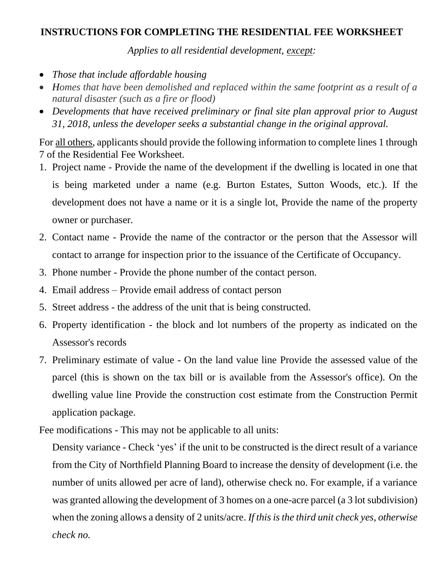## **INSTRUCTIONS FOR COMPLETING THE RESIDENTIAL FEE WORKSHEET**

*Applies to all residential development, except:*

- *Those that include affordable housing*
- *Homes that have been demolished and replaced within the same footprint as a result of a natural disaster (such as a fire or flood)*
- *Developments that have received preliminary or final site plan approval prior to August 31, 2018, unless the developer seeks a substantial change in the original approval.*

For all others, applicants should provide the following information to complete lines 1 through 7 of the Residential Fee Worksheet.

- 1. Project name Provide the name of the development if the dwelling is located in one that is being marketed under a name (e.g. Burton Estates, Sutton Woods, etc.). If the development does not have a name or it is a single lot, Provide the name of the property owner or purchaser.
- 2. Contact name Provide the name of the contractor or the person that the Assessor will contact to arrange for inspection prior to the issuance of the Certificate of Occupancy.
- 3. Phone number Provide the phone number of the contact person.
- 4. Email address Provide email address of contact person
- 5. Street address the address of the unit that is being constructed.
- 6. Property identification the block and lot numbers of the property as indicated on the Assessor's records
- 7. Preliminary estimate of value On the land value line Provide the assessed value of the parcel (this is shown on the tax bill or is available from the Assessor's office). On the dwelling value line Provide the construction cost estimate from the Construction Permit application package.

Fee modifications - This may not be applicable to all units:

Density variance - Check 'yes' if the unit to be constructed is the direct result of a variance from the City of Northfield Planning Board to increase the density of development (i.e. the number of units allowed per acre of land), otherwise check no. For example, if a variance was granted allowing the development of 3 homes on a one-acre parcel (a 3 lot subdivision) when the zoning allows a density of 2 units/acre. *If this is the third unit check yes, otherwise check no.*